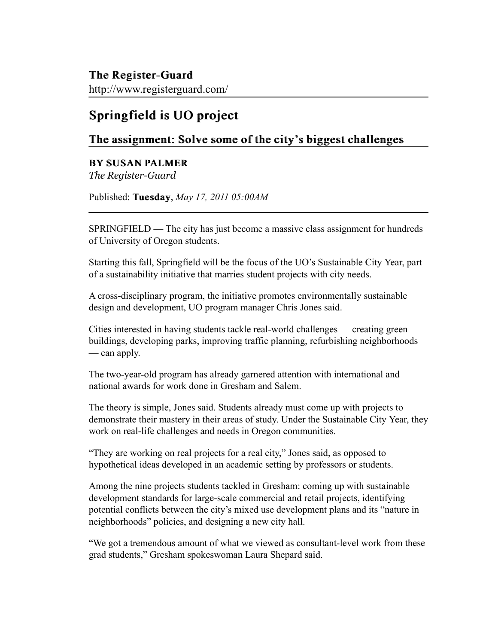http://www.registerguard.com/

## Springfield is UO project

## The assignment: Solve some of the city's biggest challenges

## BY SUSAN PALMER

*The Register-Guard*

Published: Tuesday, *May 17, 2011 05:00AM* 

SPRINGFIELD — The city has just become a massive class assignment for hundreds of University of Oregon students.

Starting this fall, Springfield will be the focus of the UO's Sustainable City Year, part of a sustainability initiative that marries student projects with city needs.

A cross-disciplinary program, the initiative promotes environmentally sustainable design and development, UO program manager Chris Jones said.

Cities interested in having students tackle real-world challenges — creating green buildings, developing parks, improving traffic planning, refurbishing neighborhoods — can apply.

The two-year-old program has already garnered attention with international and national awards for work done in Gresham and Salem.

The theory is simple, Jones said. Students already must come up with projects to demonstrate their mastery in their areas of study. Under the Sustainable City Year, they work on real-life challenges and needs in Oregon communities.

"They are working on real projects for a real city," Jones said, as opposed to hypothetical ideas developed in an academic setting by professors or students.

Among the nine projects students tackled in Gresham: coming up with sustainable development standards for large-scale commercial and retail projects, identifying potential conflicts between the city's mixed use development plans and its "nature in neighborhoods" policies, and designing a new city hall.

"We got a tremendous amount of what we viewed as consultant-level work from these grad students," Gresham spokeswoman Laura Shepard said.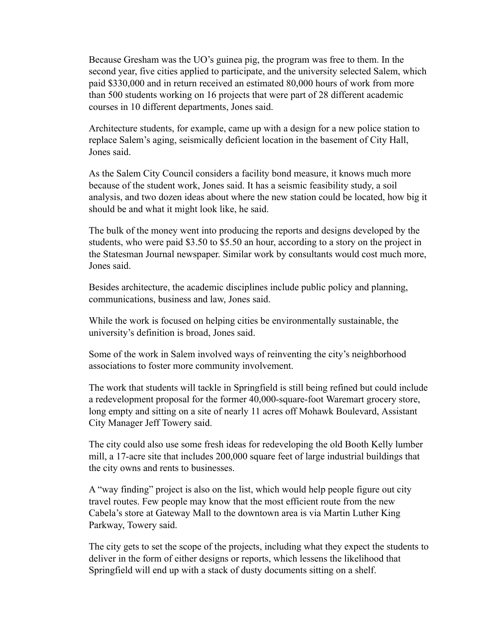Because Gresham was the UO's guinea pig, the program was free to them. In the second year, five cities applied to participate, and the university selected Salem, which paid \$330,000 and in return received an estimated 80,000 hours of work from more than 500 students working on 16 projects that were part of 28 different academic courses in 10 different departments, Jones said.

Architecture students, for example, came up with a design for a new police station to replace Salem's aging, seismically deficient location in the basement of City Hall, Jones said.

As the Salem City Council considers a facility bond measure, it knows much more because of the student work, Jones said. It has a seismic feasibility study, a soil analysis, and two dozen ideas about where the new station could be located, how big it should be and what it might look like, he said.

The bulk of the money went into producing the reports and designs developed by the students, who were paid \$3.50 to \$5.50 an hour, according to a story on the project in the Statesman Journal newspaper. Similar work by consultants would cost much more, Jones said.

Besides architecture, the academic disciplines include public policy and planning, communications, business and law, Jones said.

While the work is focused on helping cities be environmentally sustainable, the university's definition is broad, Jones said.

Some of the work in Salem involved ways of reinventing the city's neighborhood associations to foster more community involvement.

The work that students will tackle in Springfield is still being refined but could include a redevelopment proposal for the former 40,000-square-foot Waremart grocery store, long empty and sitting on a site of nearly 11 acres off Mohawk Boulevard, Assistant City Manager Jeff Towery said.

The city could also use some fresh ideas for redeveloping the old Booth Kelly lumber mill, a 17-acre site that includes 200,000 square feet of large industrial buildings that the city owns and rents to businesses.

A "way finding" project is also on the list, which would help people figure out city travel routes. Few people may know that the most efficient route from the new Cabela's store at Gateway Mall to the downtown area is via Martin Luther King Parkway, Towery said.

The city gets to set the scope of the projects, including what they expect the students to deliver in the form of either designs or reports, which lessens the likelihood that Springfield will end up with a stack of dusty documents sitting on a shelf.